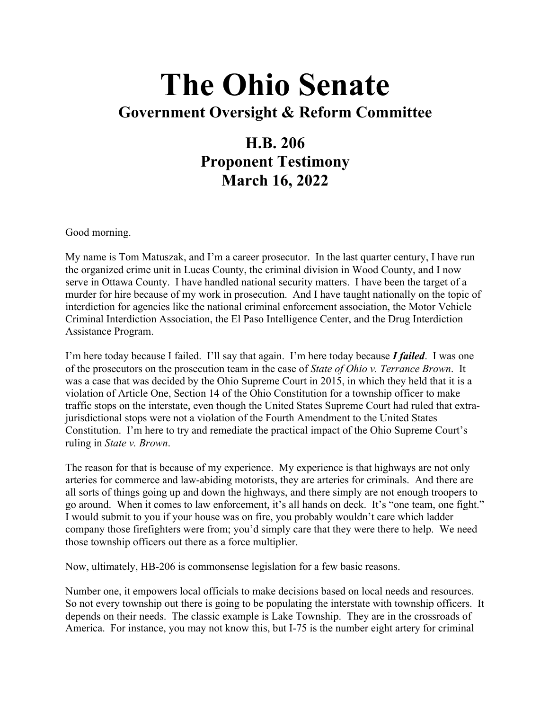## **The Ohio Senate Government Oversight & Reform Committee**

## **H.B. 206 Proponent Testimony**

**March 16, 2022**

Good morning.

My name is Tom Matuszak, and I'm a career prosecutor. In the last quarter century, I have run the organized crime unit in Lucas County, the criminal division in Wood County, and I now serve in Ottawa County. I have handled national security matters. I have been the target of a murder for hire because of my work in prosecution. And I have taught nationally on the topic of interdiction for agencies like the national criminal enforcement association, the Motor Vehicle Criminal Interdiction Association, the El Paso Intelligence Center, and the Drug Interdiction Assistance Program.

I'm here today because I failed. I'll say that again. I'm here today because *I failed*. I was one of the prosecutors on the prosecution team in the case of *State of Ohio v. Terrance Brown*. It was a case that was decided by the Ohio Supreme Court in 2015, in which they held that it is a violation of Article One, Section 14 of the Ohio Constitution for a township officer to make traffic stops on the interstate, even though the United States Supreme Court had ruled that extrajurisdictional stops were not a violation of the Fourth Amendment to the United States Constitution. I'm here to try and remediate the practical impact of the Ohio Supreme Court's ruling in *State v. Brown*.

The reason for that is because of my experience. My experience is that highways are not only arteries for commerce and law-abiding motorists, they are arteries for criminals. And there are all sorts of things going up and down the highways, and there simply are not enough troopers to go around. When it comes to law enforcement, it's all hands on deck. It's "one team, one fight." I would submit to you if your house was on fire, you probably wouldn't care which ladder company those firefighters were from; you'd simply care that they were there to help. We need those township officers out there as a force multiplier.

Now, ultimately, HB-206 is commonsense legislation for a few basic reasons.

Number one, it empowers local officials to make decisions based on local needs and resources. So not every township out there is going to be populating the interstate with township officers. It depends on their needs. The classic example is Lake Township. They are in the crossroads of America. For instance, you may not know this, but I-75 is the number eight artery for criminal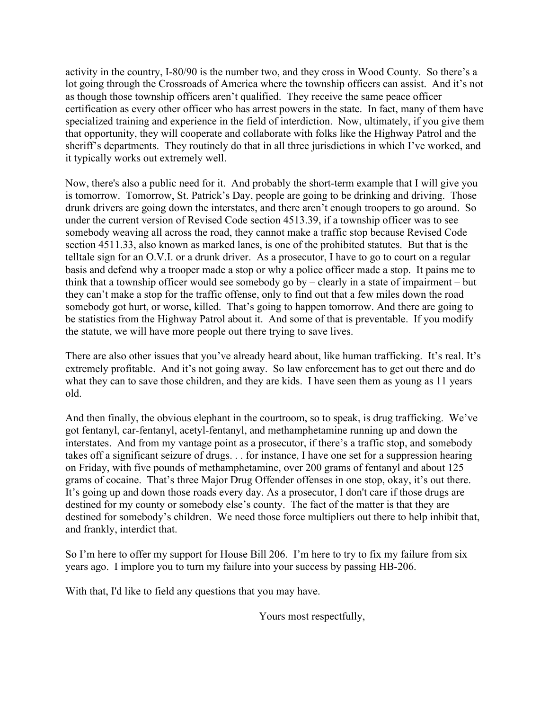activity in the country, I-80/90 is the number two, and they cross in Wood County. So there's a lot going through the Crossroads of America where the township officers can assist. And it's not as though those township officers aren't qualified. They receive the same peace officer certification as every other officer who has arrest powers in the state. In fact, many of them have specialized training and experience in the field of interdiction. Now, ultimately, if you give them that opportunity, they will cooperate and collaborate with folks like the Highway Patrol and the sheriff's departments. They routinely do that in all three jurisdictions in which I've worked, and it typically works out extremely well.

Now, there's also a public need for it. And probably the short-term example that I will give you is tomorrow. Tomorrow, St. Patrick's Day, people are going to be drinking and driving. Those drunk drivers are going down the interstates, and there aren't enough troopers to go around. So under the current version of Revised Code section 4513.39, if a township officer was to see somebody weaving all across the road, they cannot make a traffic stop because Revised Code section 4511.33, also known as marked lanes, is one of the prohibited statutes. But that is the telltale sign for an O.V.I. or a drunk driver. As a prosecutor, I have to go to court on a regular basis and defend why a trooper made a stop or why a police officer made a stop. It pains me to think that a township officer would see somebody go  $by -$  clearly in a state of impairment – but they can't make a stop for the traffic offense, only to find out that a few miles down the road somebody got hurt, or worse, killed. That's going to happen tomorrow. And there are going to be statistics from the Highway Patrol about it. And some of that is preventable. If you modify the statute, we will have more people out there trying to save lives.

There are also other issues that you've already heard about, like human trafficking. It's real. It's extremely profitable. And it's not going away. So law enforcement has to get out there and do what they can to save those children, and they are kids. I have seen them as young as 11 years old.

And then finally, the obvious elephant in the courtroom, so to speak, is drug trafficking. We've got fentanyl, car-fentanyl, acetyl-fentanyl, and methamphetamine running up and down the interstates. And from my vantage point as a prosecutor, if there's a traffic stop, and somebody takes off a significant seizure of drugs. . . for instance, I have one set for a suppression hearing on Friday, with five pounds of methamphetamine, over 200 grams of fentanyl and about 125 grams of cocaine. That's three Major Drug Offender offenses in one stop, okay, it's out there. It's going up and down those roads every day. As a prosecutor, I don't care if those drugs are destined for my county or somebody else's county. The fact of the matter is that they are destined for somebody's children. We need those force multipliers out there to help inhibit that, and frankly, interdict that.

So I'm here to offer my support for House Bill 206. I'm here to try to fix my failure from six years ago. I implore you to turn my failure into your success by passing HB-206.

With that, I'd like to field any questions that you may have.

Yours most respectfully,